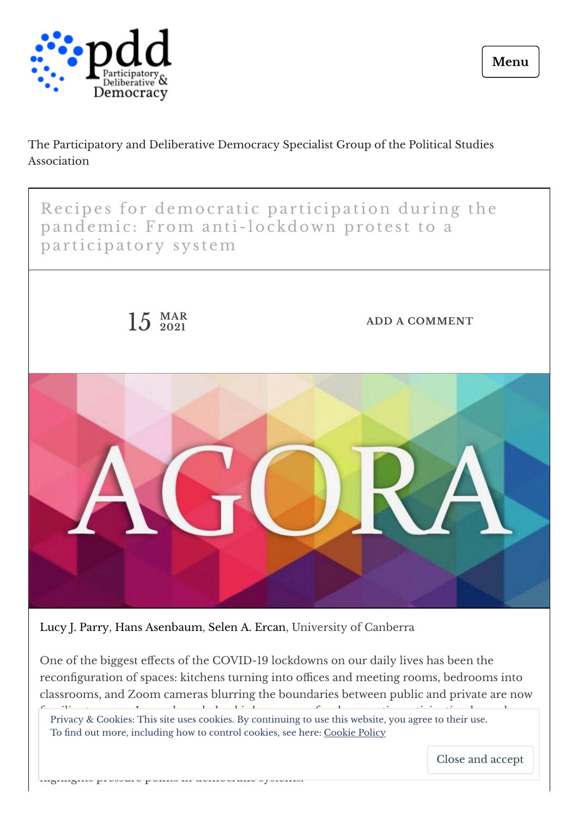

The Participatory and Deliberative Democracy Specialist Group of the Political Studies Association



Lucy J. [Parry](https://www.governanceinstitute.edu.au/centres/deliberative-democracy-and-global-governance/members/cddgg-associates/person-3151/lucy-j-parry), Hans [Asenbaum](https://www.governanceinstitute.edu.au/people/fellows/person-3818/hans-asenbaum), Selen A. [Ercan,](https://www.governanceinstitute.edu.au/people/fellows/person-2112/selen-ercan) University of Canberra

highlights pressure points in democratic systems.

One of the biggest effects of the COVID-19 lockdowns on our daily lives has been the reconfiguration of spaces: kitchens turning into offices and meeting rooms, bedrooms into classrooms, and Zoom cameras blurring the boundaries between public and private are now

Familiar to many control is how spaces for democratic participation have also privacy & Cookies: This site uses cookies. By continuing to use this website, you agree to their use. To find out more, including how to control cookies, see here: [Cookie](https://automattic.com/cookies) Policy

during the panels of change in participations and how the change in participation  $\alpha$ Close and accept

**Menu**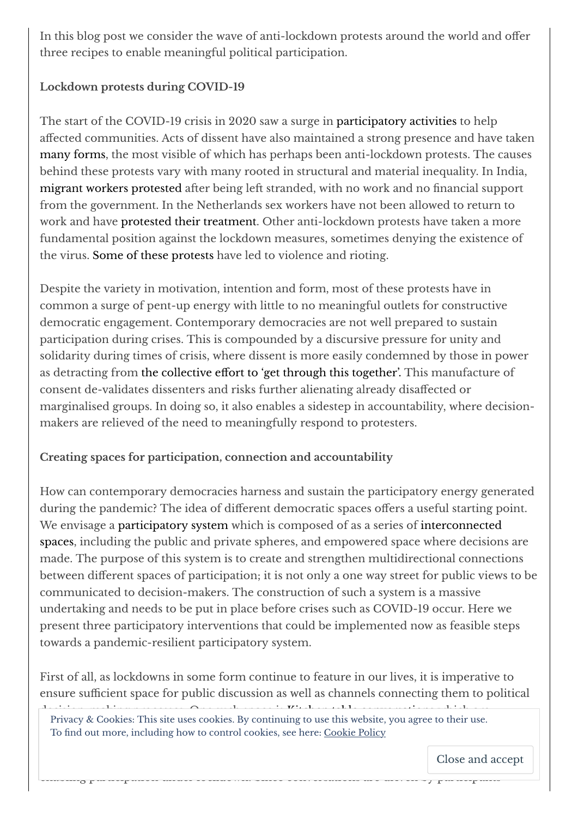In this blog post we consider the wave of anti-lockdown protests around the world and offer three recipes to enable meaningful political participation.

## **Lockdown protests during COVID-19**

The start of the COVID-19 crisis in 2020 saw a surge in [participatory](https://participedia.net/collection/6499) activities to help affected communities. Acts of dissent have also maintained a strong presence and have taken many [forms,](https://sites.google.com/view/crowdcountingconsortium/dissent-under-covid) the most visible of which has perhaps been anti-lockdown protests. The causes behind these protests vary with many rooted in structural and material inequality. In India, migrant workers [protested](https://www.firstpost.com/india/indias-migrant-workers-are-protesting-erasure-of-their-rights-amid-lockdown-a-mapping-project-documents-their-resistance-8463821.html) after being left stranded, with no work and no financial support from the government. In the Netherlands sex workers have not been allowed to return to work and have protested their [treatment.](https://www.reuters.com/article/health-coronavirus-netherlands-prostitut-idUSL2N2L02IJ) Other anti-lockdown protests have taken a more fundamental position against the lockdown measures, sometimes denying the existence of the virus. Some of these [protests](https://www.dw.com/en/ireland-hundreds-rally-in-violent-anti-lockdown-protest/a-56727668) have led to violence and rioting.

Despite the variety in motivation, intention and form, most of these protests have in common a surge of pent-up energy with little to no meaningful outlets for constructive democratic engagement. Contemporary democracies are not well prepared to sustain participation during crises. This is compounded by a discursive pressure for unity and solidarity during times of crisis, where dissent is more easily condemned by those in power as detracting from the [collective](https://journals.sagepub.com/doi/abs/10.1177/0011392116651662) effort to 'get through this together'. This manufacture of consent de-validates dissenters and risks further alienating already disaffected or marginalised groups. In doing so, it also enables a sidestep in accountability, where decisionmakers are relieved of the need to meaningfully respond to protesters.

## **Creating spaces for participation, connection and accountability**

How can contemporary democracies harness and sustain the participatory energy generated during the pandemic? The idea of different democratic spaces offers a useful starting point. We envisage a [participatory](https://www.elgaronline.com/view/edcoll/9781786433855/9781786433855.00012.xml) system which is composed of as a series of [interconnected](https://ecpr.eu/Events/Event/PanelDetails/9369) spaces, including the public and private spheres, and empowered space where decisions are made. The purpose of this system is to create and strengthen multidirectional connections between different spaces of participation; it is not only a one way street for public views to be communicated to decision-makers. The construction of such a system is a massive undertaking and needs to be put in place before crises such as COVID-19 occur. Here we present three participatory interventions that could be implemented now as feasible steps towards a pandemic-resilient participatory system.

First of all, as lockdowns in some form continue to feature in our lives, it is imperative to ensure sufficient space for public discussion as well as channels connecting them to political

enapling participation under locked under lock density conversations are driven by participations are driven b

decision-making processes. One such space is  $K'$  to  $K'$  the [conversations](https://participedia.net/method/4467) which are  $\alpha$ Informal discussions held in the control of performal groups are the theoretic, young the and the more.<br>To find out more, including how to control cookies, see here: [Cookie](https://automattic.com/cookies) Policy Privacy & Cookies: This site uses cookies. By continuing to use this website, you agree to their use.

questions. Close and accept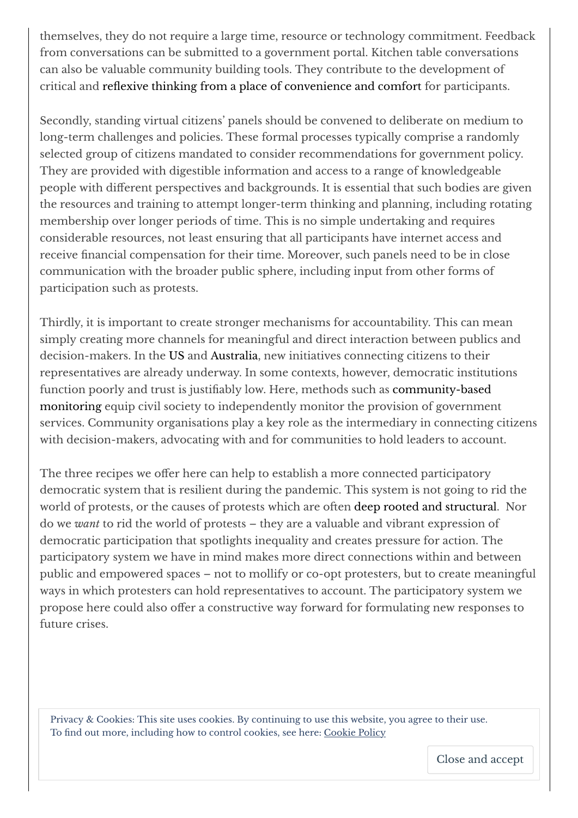themselves, they do not require a large time, resource or technology commitment. Feedback from conversations can be submitted to a government portal. Kitchen table conversations can also be valuable community building tools. They contribute to the development of critical and reflexive thinking from a place of [convenience](https://www.tandfonline.com/doi/abs/10.1080/0966369X.2014.958063) and comfort for participants.

Secondly, standing virtual citizens' panels should be convened to deliberate on medium to long-term challenges and policies. These formal processes typically comprise a randomly selected group of citizens mandated to consider recommendations for government policy. They are provided with digestible information and access to a range of knowledgeable people with different perspectives and backgrounds. It is essential that such bodies are given the resources and training to attempt longer-term thinking and planning, including rotating membership over longer periods of time. This is no simple undertaking and requires considerable resources, not least ensuring that all participants have internet access and receive financial compensation for their time. Moreover, such panels need to be in close communication with the broader public sphere, including input from other forms of participation such as protests.

Thirdly, it is important to create stronger mechanisms for accountability. This can mean simply creating more channels for meaningful and direct interaction between publics and decision-makers. In the [US](https://participedia.net/case/6560) and [Australia,](https://connect2parliament.com/) new initiatives connecting citizens to their representatives are already underway. In some contexts, however, democratic institutions function poorly and trust is justiably low. Here, methods such as [community-based](https://participedia.net/method/4357) monitoring equip civil society to independently monitor the provision of government services. Community organisations play a key role as the intermediary in connecting citizens with decision-makers, advocating with and for communities to hold leaders to account.

The three recipes we offer here can help to establish a more connected participatory democratic system that is resilient during the pandemic. This system is not going to rid the world of protests, or the causes of protests which are often deep rooted and [structural.](https://publicseminar.org/essays/five-lessons-for-democracy-from-the-covid-19-pandemic/) Nor do we *want* to rid the world of protests – they are a valuable and vibrant expression of democratic participation that spotlights inequality and creates pressure for action. The participatory system we have in mind makes more direct connections within and between public and empowered spaces – not to mollify or co-opt protesters, but to create meaningful ways in which protesters can hold representatives to account. The participatory system we propose here could also offer a constructive way forward for formulating new responses to future crises.

Privacy & [Cookies:](https://deliberativehub.files.wordpress.com/2021/03/lucy-page-001-1.png) This site uses cookies. By continuing to use this website, you agree to their use. To find out more, including how to control cookies, see here: [Cookie](https://automattic.com/cookies) Policy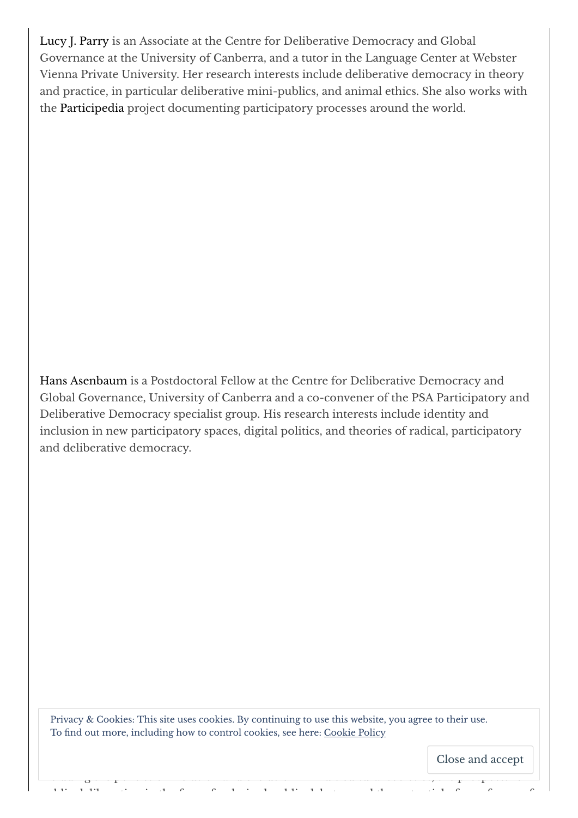Lucy J. [Parry](https://www.governanceinstitute.edu.au/centres/deliberative-democracy-and-global-governance/members/cddgg-associates/person-3151/lucy-j-parry) is an Associate at the Centre for Deliberative Democracy and Global Governance at the University of Canberra, and a tutor in the Language Center at Webster Vienna Private University. Her research interests include deliberative democracy in theory and practice, in particular deliberative mini-publics, and animal ethics. She also works with the [Participedia](https://participedia.net/) project documenting participatory processes around the world.

Hans [Asenbaum](https://www.governanceinstitute.edu.au/people/fellows/person-3818/hans-asenbaum) is a Postdoctoral Fellow at the Centre for Deliberative Democracy and Global Governance, University of Canberra and a co-convener of the PSA Participatory and Deliberative Democracy specialist group. His research interests include identity and inclusion in new participatory spaces, digital politics, and theories of radical, participatory and deliberative democracy.

Thrus, a cookies. This site associates: B, commang to assume website, you agree to and asset To find out more, including how to control cookies, see here: Cookie Policy Privacy & Cookies: This site uses cookies. By continuing to use this website, you agree to their use.

including the politics of inclusion and exclusion and exclusion in multicultural societies, the prospects for

democratic theory and empirical political research, and examines a wide range of topics Close and accept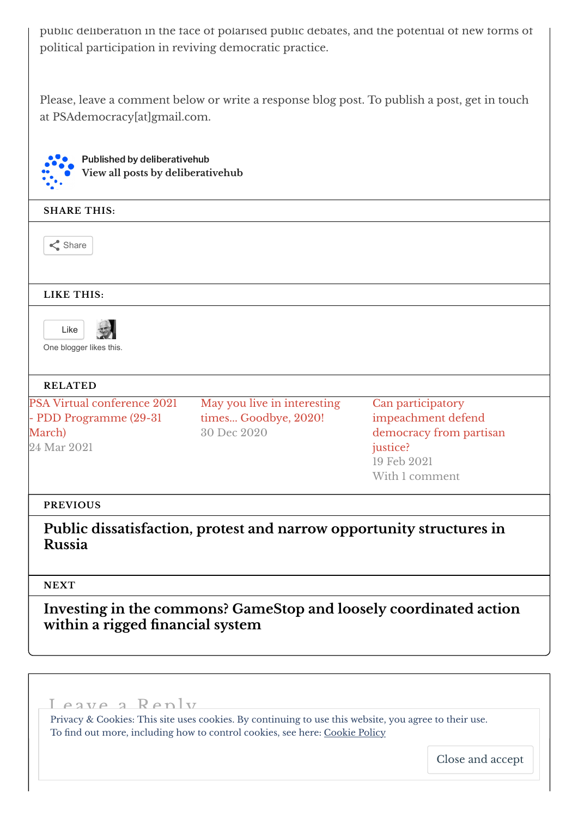public deliberation in the face of polarised public debates, and the potential of new forms of political participation in reviving democratic practice.

Please, leave a comment below or write a response blog post. To publish a post, get in touch at PSAdemocracy[at]gmail.com.

Published by deliberativehub **View all posts by [deliberativehub](https://deliberativehub.wordpress.com/author/deliberativehub/)**

## **SHARE THIS:**

 $\leq$  Share

**LIKE THIS:**



One blogger likes this.

#### **RELATED**

PSA Virtual conference 2021 - PDD [Programme](https://deliberativehub.wordpress.com/2021/03/24/psa-virtual-conference-2021-pdd-programme29-31-march/) (29-31 March) 24 Mar 2021

May you live in [interesting](https://deliberativehub.wordpress.com/2020/12/30/may-you-live-in-interesting-times-goodbye-2020/) times... Goodbye, 2020! 30 Dec 2020

Can participatory [impeachment](https://deliberativehub.wordpress.com/2021/02/19/can-participatory-impeachment-defend-democracy-from-partisan-justice/) defend democracy from partisan justice? 19 Feb 2021 With 1 comment

#### **PREVIOUS**

**Public [dissatisfaction,](https://deliberativehub.wordpress.com/2021/03/03/public-dissatisfaction-protest-and-narrow-opportunity-structures-in-russia/) protest and narrow opportunity structures in Russia**

#### **NEXT**

**Investing in the commons? GameStop and loosely [coordinated](https://deliberativehub.wordpress.com/2021/03/19/investing-in-the-commons-gamestop-and-loosely-coordinated-action-within-a-rigged-financial-system/) action within a rigged nancial system**

<span id="page-4-0"></span>Leave a Reply Privacy & Cookies: This site uses cookies. By continuing to use this website, you agree to their use. To find out more, including how to control cookies, see here: [Cookie](https://automattic.com/cookies) Policy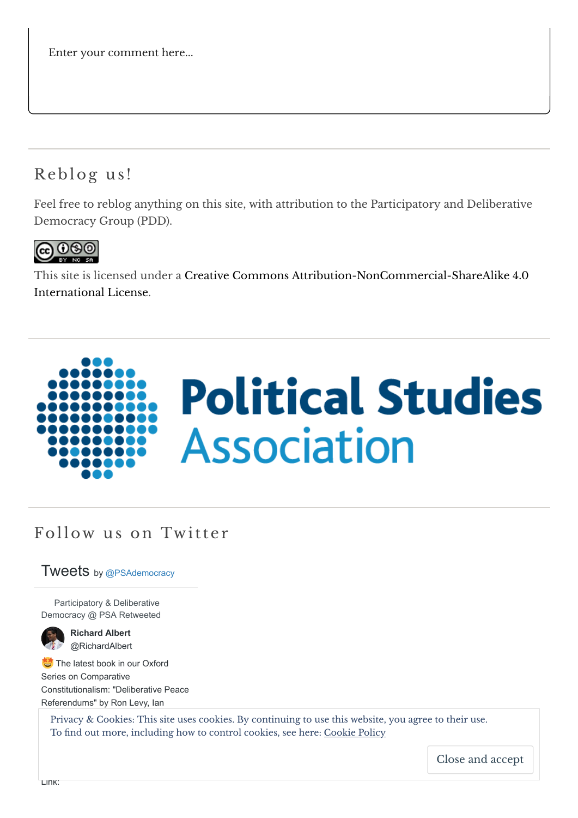Enter your comment here...

# Reblog us !

Feel free to reblog anything on this site, with attribution to the Participatory and Deliberative Democracy Group (PDD).



This site is licensed under a Creative Commons [Attribution-NonCommercial-ShareAlike](http://creativecommons.org/licenses/by-nc-sa/4.0/) 4.0 International License.



# Follow us on Twitter

## Tweets by [@PSAdemocracy](https://twitter.com/PSAdemocracy)

Participatory & Deliberative Democracy @ PSA Retweeted



**Richard Albert** [@RichardAlbert](https://twitter.com/RichardAlbert)

The latest book in our Oxford Series on Comparative Constitutionalism: "Deliberative Peace Referendums" by Ron Levy, Ian

Privacy & Cookies: This site uses cookies. By continuing to use this website, you agree to their use. To find out more, including how to control cookies, see here: [Cookie](https://automattic.com/cookies) Policy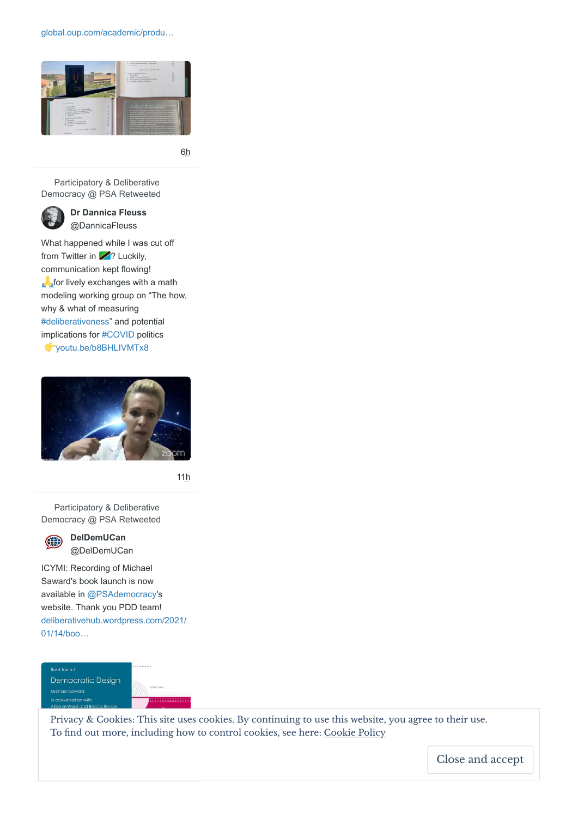[global.oup.com/academic/produ…](https://t.co/nxXpUhlDWk)



[6h](https://twitter.com/RichardAlbert/status/1384978411089580035)

Participatory & Deliberative Democracy @ PSA Retweeted



**[Dr Dannica Fleuss](https://twitter.com/DannicaFleuss)** @DannicaFleuss

What happened while I was cut off from Twitter in  $\mathbb{Z}$ ? Luckily, communication kept flowing! **for lively exchanges with a math** modeling working group on "The how, why & what of measuring [#deliberativeness](https://twitter.com/hashtag/deliberativeness?src=hash)" and potential implications for [#COVID](https://twitter.com/hashtag/COVID?src=hash) politics [youtu.be/b8BHLIVMTx8](https://t.co/Fzvfi6hSO5)



[11h](https://twitter.com/DannicaFleuss/status/1384891743133388803)

Participatory & Deliberative Democracy @ PSA Retweeted



**DelDemUCan** [@DelDemUCan](https://twitter.com/DelDemUCan)

ICYMI: Recording of Michael Saward's book launch is now available in [@PSAdemocracy](https://twitter.com/PSAdemocracy)'s website. Thank you PDD team! [deliberativehub.wordpress.com/2021/](https://t.co/3CfZQpJIJI) 01/14/boo…

Book launch **Democratic Design** Michael Saward arcation with

Privacy & Cookies: This site uses cookies. By continuing to use this website, you agree to their use. To find out more, [including](https://twitter.com/DelDemUCan/status/1384265607676252160/photo/1) how to control cookies, see here: [Cookie](https://automattic.com/cookies) Policy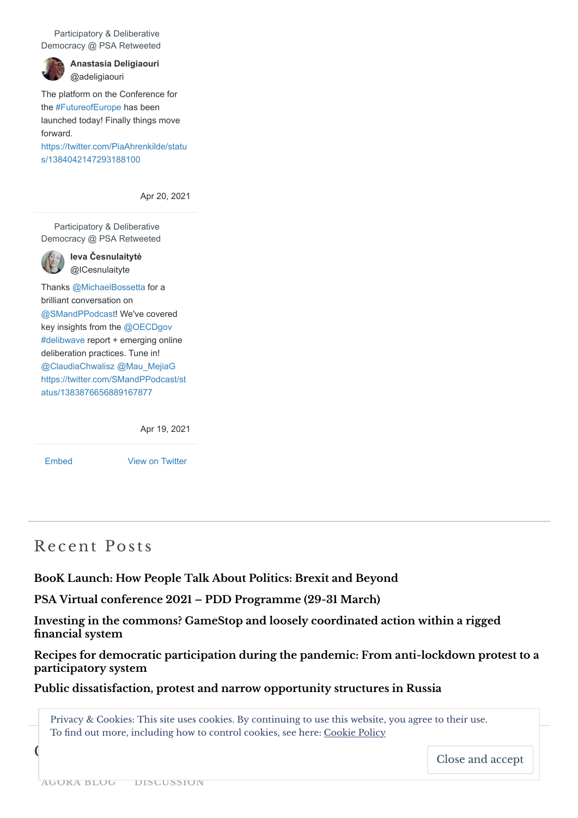Participatory & Deliberative Democracy @ PSA Retweeted



**[Anastasia Deligiaouri](https://twitter.com/adeligiaouri)** @adeligiaouri

The platform on the Conference for the [#FutureofEurope](https://twitter.com/hashtag/FutureofEurope?src=hash) has been launched today! Finally things move forward. [https://twitter.com/PiaAhrenkilde/statu](https://twitter.com/PiaAhrenkilde/status/1384042147293188100) s/1384042147293188100

[Apr 20, 2021](https://twitter.com/adeligiaouri/status/1384164773730799622)

Participatory & Deliberative Democracy @ PSA Retweeted

> **[Ieva Česnulaitytė](https://twitter.com/ICesnulaityte)** @ICesnulaityte

Thanks [@MichaelBossetta](https://twitter.com/MichaelBossetta) for a brilliant conversation on [@SMandPPodcast!](https://twitter.com/SMandPPodcast) We've covered key insights from the [@OECDgov](https://twitter.com/OECDgov) [#delibwave](https://twitter.com/hashtag/delibwave?src=hash) report + emerging online deliberation practices. Tune in! [@ClaudiaChwalisz](https://twitter.com/ClaudiaChwalisz) [@Mau\\_MejiaG](https://twitter.com/Mau_MejiaG) [https://twitter.com/SMandPPodcast/st](https://twitter.com/SMandPPodcast/status/1383876656889167877) atus/1383876656889167877

[Apr 19, 2021](https://twitter.com/ICesnulaityte/status/1384058323142545408)

[Embed](https://publish.twitter.com/?url=https%3A%2F%2Ftwitter.com%2FPSAdemocracy) [View on Twitter](https://twitter.com/PSAdemocracy)

# Recent Posts

**BooK Launch: How People [Talk About](https://deliberativehub.wordpress.com/2021/04/19/bool-launch-how-people-talk-about-politics-brexit-and-beyond/) Politics: Brexit and Beyond**

**PSA Virtual conference 2021 – PDD [Programme](https://deliberativehub.wordpress.com/2021/03/24/psa-virtual-conference-2021-pdd-programme29-31-march/) (29-31 March)**

**Investing in the commons? GameStop and loosely [coordinated](https://deliberativehub.wordpress.com/2021/03/19/investing-in-the-commons-gamestop-and-loosely-coordinated-action-within-a-rigged-financial-system/) action within a rigged nancial system**

**Recipes for democratic participation during the pandemic: From [anti-lockdown](https://deliberativehub.wordpress.com/2021/03/15/recipes-for-democratic-participation-during-the-pandemic-from-anti-lockdown-protest-to-a-participatory-system/) protest to a participatory system**

**Public [dissatisfaction,](https://deliberativehub.wordpress.com/2021/03/03/public-dissatisfaction-protest-and-narrow-opportunity-structures-in-russia/) protest and narrow opportunity structures in Russia**

Privacy & Cookies: This site uses cookies. By continuing to use this website, you agree to their use. To find out more, including how to control cookies, see here: [Cookie](https://automattic.com/cookies) Policy

Close and accept

 $\overline{C}$